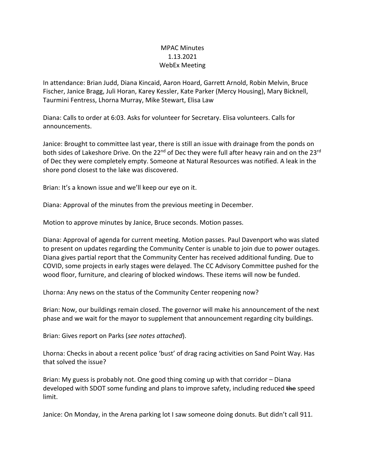## MPAC Minutes 1.13.2021 WebEx Meeting

In attendance: Brian Judd, Diana Kincaid, Aaron Hoard, Garrett Arnold, Robin Melvin, Bruce Fischer, Janice Bragg, Juli Horan, Karey Kessler, Kate Parker (Mercy Housing), Mary Bicknell, Taurmini Fentress, Lhorna Murray, Mike Stewart, Elisa Law

Diana: Calls to order at 6:03. Asks for volunteer for Secretary. Elisa volunteers. Calls for announcements.

Janice: Brought to committee last year, there is still an issue with drainage from the ponds on both sides of Lakeshore Drive. On the 22<sup>nd</sup> of Dec they were full after heavy rain and on the 23<sup>rd</sup> of Dec they were completely empty. Someone at Natural Resources was notified. A leak in the shore pond closest to the lake was discovered.

Brian: It's a known issue and we'll keep our eye on it.

Diana: Approval of the minutes from the previous meeting in December.

Motion to approve minutes by Janice, Bruce seconds. Motion passes.

Diana: Approval of agenda for current meeting. Motion passes. Paul Davenport who was slated to present on updates regarding the Community Center is unable to join due to power outages. Diana gives partial report that the Community Center has received additional funding. Due to COVID, some projects in early stages were delayed. The CC Advisory Committee pushed for the wood floor, furniture, and clearing of blocked windows. These items will now be funded.

Lhorna: Any news on the status of the Community Center reopening now?

Brian: Now, our buildings remain closed. The governor will make his announcement of the next phase and we wait for the mayor to supplement that announcement regarding city buildings.

Brian: Gives report on Parks (*see notes attached*).

Lhorna: Checks in about a recent police 'bust' of drag racing activities on Sand Point Way. Has that solved the issue?

Brian: My guess is probably not. One good thing coming up with that corridor – Diana developed with SDOT some funding and plans to improve safety, including reduced the speed limit.

Janice: On Monday, in the Arena parking lot I saw someone doing donuts. But didn't call 911.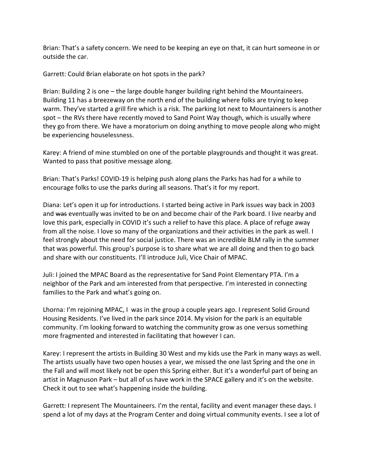Brian: That's a safety concern. We need to be keeping an eye on that, it can hurt someone in or outside the car.

Garrett: Could Brian elaborate on hot spots in the park?

Brian: Building 2 is one – the large double hanger building right behind the Mountaineers. Building 11 has a breezeway on the north end of the building where folks are trying to keep warm. They've started a grill fire which is a risk. The parking lot next to Mountaineers is another spot – the RVs there have recently moved to Sand Point Way though, which is usually where they go from there. We have a moratorium on doing anything to move people along who might be experiencing houselessness.

Karey: A friend of mine stumbled on one of the portable playgrounds and thought it was great. Wanted to pass that positive message along.

Brian: That's Parks! COVID-19 is helping push along plans the Parks has had for a while to encourage folks to use the parks during all seasons. That's it for my report.

Diana: Let's open it up for introductions. I started being active in Park issues way back in 2003 and was eventually was invited to be on and become chair of the Park board. I live nearby and love this park, especially in COVID it's such a relief to have this place. A place of refuge away from all the noise. I love so many of the organizations and their activities in the park as well. I feel strongly about the need for social justice. There was an incredible BLM rally in the summer that was powerful. This group's purpose is to share what we are all doing and then to go back and share with our constituents. I'll introduce Juli, Vice Chair of MPAC.

Juli: I joined the MPAC Board as the representative for Sand Point Elementary PTA. I'm a neighbor of the Park and am interested from that perspective. I'm interested in connecting families to the Park and what's going on.

Lhorna: I'm rejoining MPAC, I was in the group a couple years ago. I represent Solid Ground Housing Residents. I've lived in the park since 2014. My vision for the park is an equitable community. I'm looking forward to watching the community grow as one versus something more fragmented and interested in facilitating that however I can.

Karey: I represent the artists in Building 30 West and my kids use the Park in many ways as well. The artists usually have two open houses a year, we missed the one last Spring and the one in the Fall and will most likely not be open this Spring either. But it's a wonderful part of being an artist in Magnuson Park – but all of us have work in the SPACE gallery and it's on the website. Check it out to see what's happening inside the building.

Garrett: I represent The Mountaineers. I'm the rental, facility and event manager these days. I spend a lot of my days at the Program Center and doing virtual community events. I see a lot of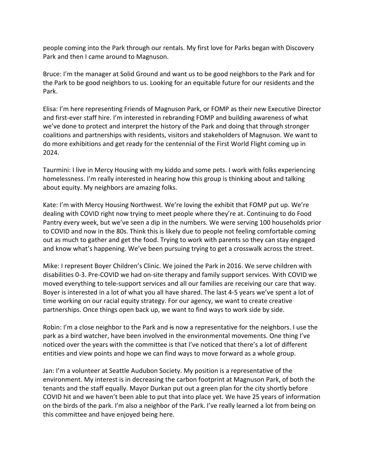people coming into the Park through our rentals. My first love for Parks began with Discovery Park and then I came around to Magnuson.

Bruce: I'm the manager at Solid Ground and want us to be good neighbors to the Park and for the Park to be good neighbors to us. Looking for an equitable future for our residents and the Park.

Elisa: I'm here representing Friends of Magnuson Park, or FOMP as their new Executive Director and first-ever staff hire. I'm interested in rebranding FOMP and building awareness of what we've done to protect and interpret the history of the Park and doing that through stronger coalitions and partnerships with residents, visitors and stakeholders of Magnuson. We want to do more exhibitions and get ready for the centennial of the First World Flight coming up in 2024.

Taurmini: I live in Mercy Housing with my kiddo and some pets. I work with folks experiencing homelessness. I'm really interested in hearing how this group is thinking about and talking about equity. My neighbors are amazing folks.

Kate: I'm with Mercy Housing Northwest. We're loving the exhibit that FOMP put up. We're dealing with COVID right now trying to meet people where they're at. Continuing to do Food Pantry every week, but we've seen a dip in the numbers. We were serving 100 households prior to COVID and now in the 80s. Think this is likely due to people not feeling comfortable coming out as much to gather and get the food. Trying to work with parents so they can stay engaged and know what's happening. We've been pursuing trying to get a crosswalk across the street.

Mike: I represent Boyer Children's Clinic. We joined the Park in 2016. We serve children with disabilities 0-3. Pre-COVID we had on-site therapy and family support services. With COVID we moved everything to tele-support services and all our families are receiving our care that way. Boyer is interested in a lot of what you all have shared. The last 4-5 years we've spent a lot of time working on our racial equity strategy. For our agency, we want to create creative partnerships. Once things open back up, we want to find ways to work side by side.

Robin: I'm a close neighbor to the Park and is now a representative for the neighbors. I use the park as a bird watcher, have been involved in the environmental movements. One thing I've noticed over the years with the committee is that I've noticed that there's a lot of different entities and view points and hope we can find ways to move forward as a whole group.

Jan: I'm a volunteer at Seattle Audubon Society. My position is a representative of the environment. My interest is in decreasing the carbon footprint at Magnuson Park, of both the tenants and the staff equally. Mayor Durkan put out a green plan for the city shortly before COVID hit and we haven't been able to put that into place yet. We have 25 years of information on the birds of the park. I'm also a neighbor of the Park. I've really learned a lot from being on this committee and have enjoyed being here.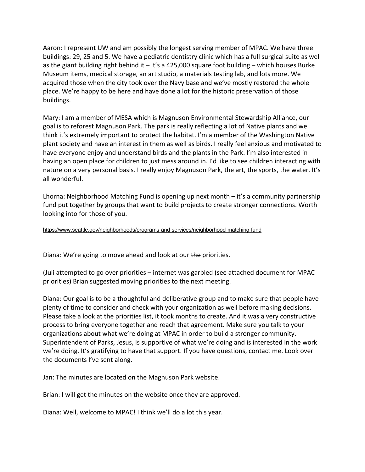Aaron: I represent UW and am possibly the longest serving member of MPAC. We have three buildings: 29, 25 and 5. We have a pediatric dentistry clinic which has a full surgical suite as well as the giant building right behind it – it's a 425,000 square foot building – which houses Burke Museum items, medical storage, an art studio, a materials testing lab, and lots more. We acquired those when the city took over the Navy base and we've mostly restored the whole place. We're happy to be here and have done a lot for the historic preservation of those buildings.

Mary: I am a member of MESA which is Magnuson Environmental Stewardship Alliance, our goal is to reforest Magnuson Park. The park is really reflecting a lot of Native plants and we think it's extremely important to protect the habitat. I'm a member of the Washington Native plant society and have an interest in them as well as birds. I really feel anxious and motivated to have everyone enjoy and understand birds and the plants in the Park. I'm also interested in having an open place for children to just mess around in. I'd like to see children interacting with nature on a very personal basis. I really enjoy Magnuson Park, the art, the sports, the water. It's all wonderful.

Lhorna: Neighborhood Matching Fund is opening up next month – it's a community partnership fund put together by groups that want to build projects to create stronger connections. Worth looking into for those of you.

https://www.seattle.gov/neighborhoods/programs-and-services/neighborhood-matching-fund

Diana: We're going to move ahead and look at our the priorities.

(Juli attempted to go over priorities – internet was garbled (see attached document for MPAC priorities) Brian suggested moving priorities to the next meeting.

Diana: Our goal is to be a thoughtful and deliberative group and to make sure that people have plenty of time to consider and check with your organization as well before making decisions. Please take a look at the priorities list, it took months to create. And it was a very constructive process to bring everyone together and reach that agreement. Make sure you talk to your organizations about what we're doing at MPAC in order to build a stronger community. Superintendent of Parks, Jesus, is supportive of what we're doing and is interested in the work we're doing. It's gratifying to have that support. If you have questions, contact me. Look over the documents I've sent along.

Jan: The minutes are located on the Magnuson Park website.

Brian: I will get the minutes on the website once they are approved.

Diana: Well, welcome to MPAC! I think we'll do a lot this year.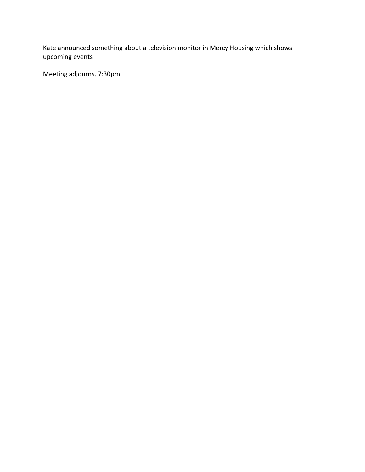Kate announced something about a television monitor in Mercy Housing which shows upcoming events

Meeting adjourns, 7:30pm.